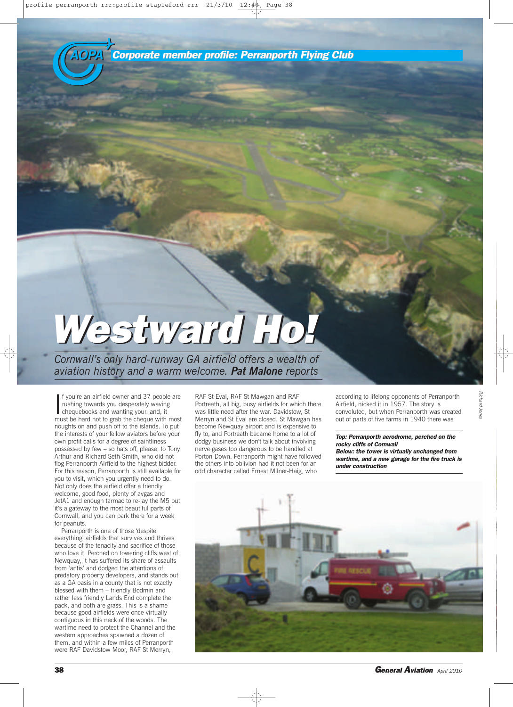*AOPA AOPA Corporate member profile: Perranporth Flying Club*

## *Westward Ho! Westward Ho!*

*Cornwall's only hard-runway GA airfield offers a wealth of aviation history and a warm welcome. Pat Malone reports*

If you're an airfield owner and 37 people are<br>rushing towards you desperately waving<br>chequebooks and wanting your land, it<br>must be hard not to grab the cheque with most f you're an airfield owner and 37 people are rushing towards you desperately waving chequebooks and wanting your land, it noughts on and push off to the islands. To put the interests of your fellow aviators before your own profit calls for a degree of saintliness possessed by few – so hats off, please, to Tony Arthur and Richard Seth-Smith, who did not flog Perranporth Airfield to the highest bidder. For this reason, Perranporth is still available for you to visit, which you urgently need to do. Not only does the airfield offer a friendly welcome, good food, plenty of avgas and JetA1 and enough tarmac to re-lay the M5 but it's a gateway to the most beautiful parts of Cornwall, and you can park there for a week for peanuts.

Perranporth is one of those 'despite everything' airfields that survives and thrives because of the tenacity and sacrifice of those who love it. Perched on towering cliffs west of Newquay, it has suffered its share of assaults from 'antis' and dodged the attentions of predatory property developers, and stands out as a GA oasis in a county that is not exactly blessed with them – friendly Bodmin and rather less friendly Lands End complete the pack, and both are grass. This is a shame because good airfields were once virtually contiguous in this neck of the woods. The wartime need to protect the Channel and the western approaches spawned a dozen of them, and within a few miles of Perranporth were RAF Davidstow Moor, RAF St Merryn,

RAF St Eval, RAF St Mawgan and RAF Portreath, all big, busy airfields for which there was little need after the war. Davidstow, St Merryn and St Eval are closed, St Mawgan has become Newquay airport and is expensive to fly to, and Portreath became home to a lot of dodgy business we don't talk about involving nerve gases too dangerous to be handled at Porton Down. Perranporth might have followed the others into oblivion had it not been for an odd character called Ernest Milner-Haig, who

according to lifelong opponents of Perranporth Airfield, nicked it in 1957. The story is convoluted, but when Perranporth was created out of parts of five farms in 1940 there was

*Richard Jones*

*Top: Perranporth aerodrome, perched on the rocky cliffs of Cornwall Below: the tower is virtually unchanged from wartime, and a new garage for the fire truck is under construction*

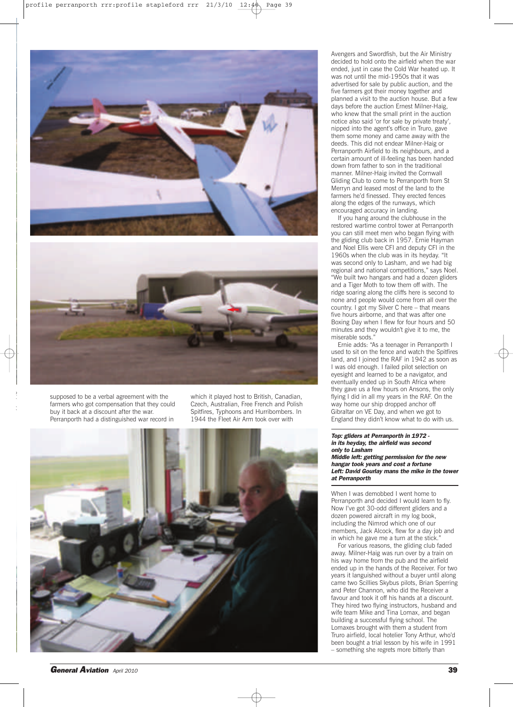



supposed to be a verbal agreement with the farmers who got compensation that they could buy it back at a discount after the war. Perranporth had a distinguished war record in

*Ri*

which it played host to British, Canadian, Czech, Australian, Free French and Polish Spitfires, Typhoons and Hurribombers. In 1944 the Fleet Air Arm took over with



Avengers and Swordfish, but the Air Ministry decided to hold onto the airfield when the war ended, just in case the Cold War heated up. It was not until the mid-1950s that it was advertised for sale by public auction, and the five farmers got their money together and planned a visit to the auction house. But a few days before the auction Ernest Milner-Haig, who knew that the small print in the auction notice also said 'or for sale by private treaty', nipped into the agent's office in Truro, gave them some money and came away with the deeds. This did not endear Milner-Haig or Perranporth Airfield to its neighbours, and a certain amount of ill-feeling has been handed down from father to son in the traditional manner. Milner-Haig invited the Cornwall Gliding Club to come to Perranporth from St Merryn and leased most of the land to the farmers he'd finessed. They erected fences along the edges of the runways, which encouraged accuracy in landing.

If you hang around the clubhouse in the restored wartime control tower at Perranporth you can still meet men who began flying with the gliding club back in 1957. Ernie Hayman and Noel Ellis were CFI and deputy CFI in the 1960s when the club was in its heyday. "It was second only to Lasham, and we had big regional and national competitions," says Noel. "We built two hangars and had a dozen gliders and a Tiger Moth to tow them off with. The ridge soaring along the cliffs here is second to none and people would come from all over the country. I got my Silver C here – that means five hours airborne, and that was after one Boxing Day when I flew for four hours and 50 minutes and they wouldn't give it to me, the miserable sods."

Ernie adds: "As a teenager in Perranporth I used to sit on the fence and watch the Spitfires land, and I joined the RAF in 1942 as soon as I was old enough. I failed pilot selection on eyesight and learned to be a navigator, and eventually ended up in South Africa where they gave us a few hours on Ansons, the only flying I did in all my years in the RAF. On the way home our ship dropped anchor off Gibraltar on VE Day, and when we got to England they didn't know what to do with us.

## *Top: gliders at Perranporth in 1972 in its heyday, the airfield was second only to Lasham Middle left: getting permission for the new hangar took years and cost a fortune Left: David Gourlay mans the mike in the tower at Perranporth*

When I was demobbed I went home to Perranporth and decided I would learn to fly. Now I've got 30-odd different gliders and a dozen powered aircraft in my log book, including the Nimrod which one of our members, Jack Alcock, flew for a day job and in which he gave me a turn at the stick.

For various reasons, the gliding club faded away. Milner-Haig was run over by a train on his way home from the pub and the airfield ended up in the hands of the Receiver. For two years it languished without a buyer until along came two Scillies Skybus pilots, Brian Sperring and Peter Channon, who did the Receiver a favour and took it off his hands at a discount. They hired two flying instructors, husband and wife team Mike and Tina Lomax, and began building a successful flying school. The Lomaxes brought with them a student from Truro airfield, local hotelier Tony Arthur, who'd been bought a trial lesson by his wife in 1991 – something she regrets more bitterly than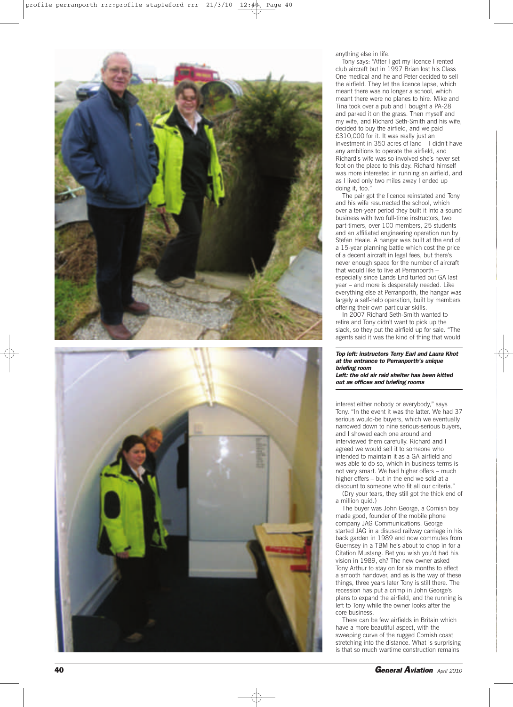



anything else in life.

Tony says: "After I got my licence I rented club aircraft but in 1997 Brian lost his Class One medical and he and Peter decided to sell the airfield. They let the licence lapse, which meant there was no longer a school, which meant there were no planes to hire. Mike and Tina took over a pub and I bought a PA-28 and parked it on the grass. Then myself and my wife, and Richard Seth-Smith and his wife, decided to buy the airfield, and we paid £310,000 for it. It was really just an investment in 350 acres of land – I didn't have any ambitions to operate the airfield, and Richard's wife was so involved she's never set foot on the place to this day. Richard himself was more interested in running an airfield, and as I lived only two miles away I ended up doing it, too.

The pair got the licence reinstated and Tony and his wife resurrected the school, which over a ten-year period they built it into a sound business with two full-time instructors, two part-timers, over 100 members, 25 students and an affiliated engineering operation run by Stefan Heale. A hangar was built at the end of a 15-year planning battle which cost the price of a decent aircraft in legal fees, but there's never enough space for the number of aircraft that would like to live at Perranporth – especially since Lands End turfed out GA last year – and more is desperately needed. Like everything else at Perranporth, the hangar was largely a self-help operation, built by members offering their own particular skills.

In 2007 Richard Seth-Smith wanted to retire and Tony didn't want to pick up the slack, so they put the airfield up for sale. "The agents said it was the kind of thing that would

## *Top left: instructors Terry Earl and Laura Khot at the entrance to Perranporth's unique briefing room*

*Left: the old air raid shelter has been kitted out as offices and briefing rooms*

interest either nobody or everybody," says Tony. "In the event it was the latter. We had 37 serious would-be buyers, which we eventually narrowed down to nine serious-serious buyers, and I showed each one around and interviewed them carefully. Richard and I agreed we would sell it to someone who intended to maintain it as a GA airfield and was able to do so, which in business terms is not very smart. We had higher offers – much higher offers – but in the end we sold at a discount to someone who fit all our criteria.

(Dry your tears, they still got the thick end of a million quid.)

The buyer was John George, a Cornish boy made good, founder of the mobile phone company JAG Communications. George started JAG in a disused railway carriage in his back garden in 1989 and now commutes from Guernsey in a TBM he's about to chop in for a Citation Mustang. Bet you wish you'd had his vision in 1989, eh? The new owner asked Tony Arthur to stay on for six months to effect a smooth handover, and as is the way of these things, three years later Tony is still there. The recession has put a crimp in John George's plans to expand the airfield, and the running is left to Tony while the owner looks after the core business.

There can be few airfields in Britain which have a more beautiful aspect, with the sweeping curve of the rugged Cornish coast stretching into the distance. What is surprising is that so much wartime construction remains